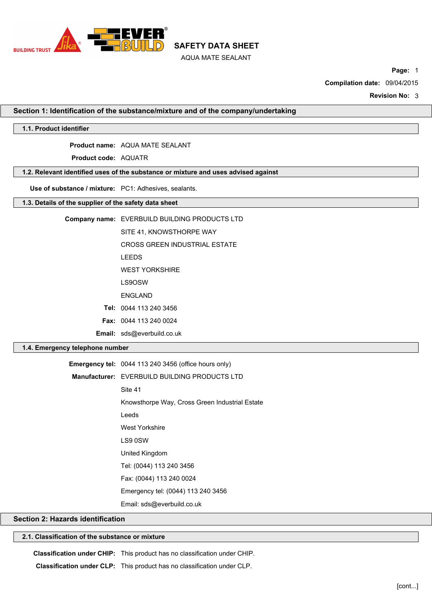

**Page:** 1

**Compilation date:** 09/04/2015

**Revision No:** 3

**Section 1: Identification of the substance/mixture and of the company/undertaking**

### **1.1. Product identifier**

**Product name:** AQUA MATE SEALANT

**Product code:** AQUATR

## **1.2. Relevant identified uses of the substance or mixture and uses advised against**

**Use of substance / mixture:** PC1: Adhesives, sealants.

## **1.3. Details of the supplier of the safety data sheet**

| Company name: EVERBUILD BUILDING PRODUCTS LTD |
|-----------------------------------------------|
| SITE 41. KNOWSTHORPE WAY                      |
| <b>CROSS GREEN INDUSTRIAL ESTATE</b>          |
| <b>LEEDS</b>                                  |
| <b>WEST YORKSHIRF</b>                         |
| LS9OSW                                        |
| <b>FNGI AND</b>                               |
| Tel: 0044 113 240 3456                        |
| <b>Fax: 0044 113 240 0024</b>                 |
| <b>Email:</b> sds@everbuild.co.uk             |

### **1.4. Emergency telephone number**

| <b>Emergency tel:</b> $0044$ 113 240 3456 (office hours only) |  |
|---------------------------------------------------------------|--|
| <b>Manufacturer: EVERBUILD BUILDING PRODUCTS LTD</b>          |  |
| Site 41                                                       |  |
| Knowsthorpe Way, Cross Green Industrial Estate                |  |
| Leeds                                                         |  |
| West Yorkshire                                                |  |
| LS9 0SW                                                       |  |
| United Kingdom                                                |  |
| Tel: (0044) 113 240 3456                                      |  |
| Fax: (0044) 113 240 0024                                      |  |
| Emergency tel: (0044) 113 240 3456                            |  |
| Email: sds@everbuild.co.uk                                    |  |

#### **Section 2: Hazards identification**

## **2.1. Classification of the substance or mixture**

**Classification under CHIP:** This product has no classification under CHIP.

**Classification under CLP:** This product has no classification under CLP.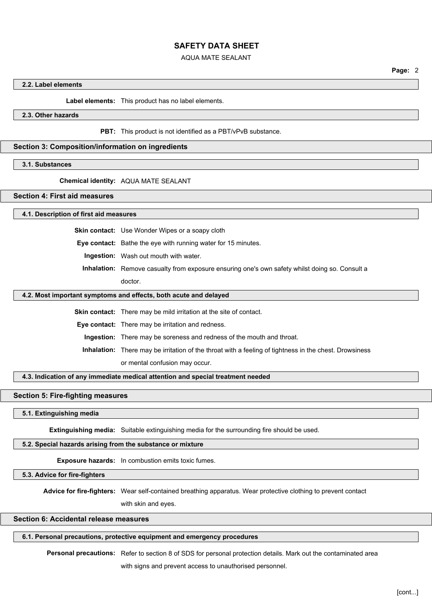#### AQUA MATE SEALANT

**Page:** 2

#### **2.2. Label elements**

**Label elements:** This product has no label elements.

## **2.3. Other hazards**

**PBT:** This product is not identified as a PBT/vPvB substance.

### **Section 3: Composition/information on ingredients**

#### **3.1. Substances**

#### **Chemical identity:** AQUA MATE SEALANT

## **Section 4: First aid measures**

#### **4.1. Description of first aid measures**

**Skin contact:** Use Wonder Wipes or a soapy cloth

**Eye contact:** Bathe the eye with running water for 15 minutes.

**Ingestion:** Wash out mouth with water.

**Inhalation:** Remove casualty from exposure ensuring one's own safety whilst doing so. Consult a doctor.

#### **4.2. Most important symptoms and effects, both acute and delayed**

**Skin contact:** There may be mild irritation at the site of contact.

**Eye contact:** There may be irritation and redness.

**Ingestion:** There may be soreness and redness of the mouth and throat.

**Inhalation:** There may be irritation of the throat with a feeling of tightness in the chest. Drowsiness

or mental confusion may occur.

**4.3. Indication of any immediate medical attention and special treatment needed**

#### **Section 5: Fire-fighting measures**

#### **5.1. Extinguishing media**

**Extinguishing media:** Suitable extinguishing media for the surrounding fire should be used.

#### **5.2. Special hazards arising from the substance or mixture**

**Exposure hazards:** In combustion emits toxic fumes.

**5.3. Advice for fire-fighters**

**Advice for fire-fighters:** Wear self-contained breathing apparatus. Wear protective clothing to prevent contact

with skin and eyes.

#### **Section 6: Accidental release measures**

### **6.1. Personal precautions, protective equipment and emergency procedures**

**Personal precautions:** Refer to section 8 of SDS for personal protection details. Mark out the contaminated area

with signs and prevent access to unauthorised personnel.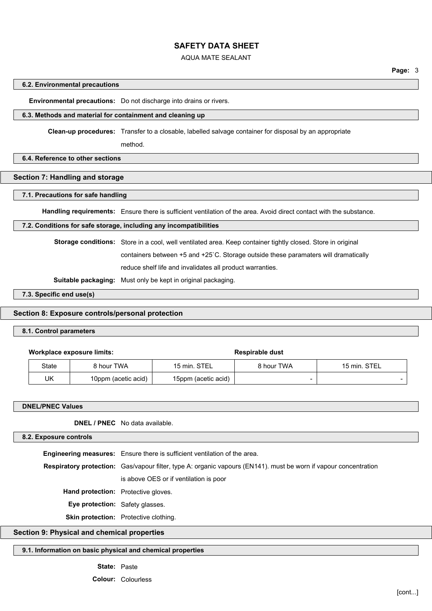### AQUA MATE SEALANT

**Page:** 3

#### **6.2. Environmental precautions**

**Environmental precautions:** Do not discharge into drains or rivers.

#### **6.3. Methods and material for containment and cleaning up**

**Clean-up procedures:** Transfer to a closable, labelled salvage container for disposal by an appropriate

method.

### **6.4. Reference to other sections**

# **Section 7: Handling and storage**

#### **7.1. Precautions for safe handling**

**Handling requirements:** Ensure there is sufficient ventilation of the area. Avoid direct contact with the substance.

### **7.2. Conditions for safe storage, including any incompatibilities**

**Storage conditions:** Store in a cool, well ventilated area. Keep container tightly closed. Store in original

containers between +5 and +25`C. Storage outside these paramaters will dramatically

reduce shelf life and invalidates all product warranties.

**Suitable packaging:** Must only be kept in original packaging.

**7.3. Specific end use(s)**

### **Section 8: Exposure controls/personal protection**

#### **8.1. Control parameters**

|  | Workplace exposure limits: |
|--|----------------------------|
|--|----------------------------|

**Workplace exposure limits: Respirable dust**

| State | 3 hour TWA          | 15 min. STEL        | 8 hour TWA | 15 min. STEL |
|-------|---------------------|---------------------|------------|--------------|
| UK    | 10ppm (acetic acid) | 15ppm (acetic acid) |            |              |

| <b>DNEL/PNEC Values</b>                |                                                                                                                         |  |
|----------------------------------------|-------------------------------------------------------------------------------------------------------------------------|--|
|                                        | <b>DNEL / PNEC</b> No data available.                                                                                   |  |
| 8.2. Exposure controls                 |                                                                                                                         |  |
|                                        | <b>Engineering measures:</b> Ensure there is sufficient ventilation of the area.                                        |  |
|                                        | <b>Respiratory protection:</b> Gas/vapour filter, type A: organic vapours (EN141). must be worn if vapour concentration |  |
|                                        | is above OES or if ventilation is poor                                                                                  |  |
|                                        | Hand protection: Protective gloves.                                                                                     |  |
| <b>Eye protection:</b> Safety glasses. |                                                                                                                         |  |
|                                        | <b>Skin protection:</b> Protective clothing.                                                                            |  |

## **Section 9: Physical and chemical properties**

#### **9.1. Information on basic physical and chemical properties**

**State:** Paste

**Colour:** Colourless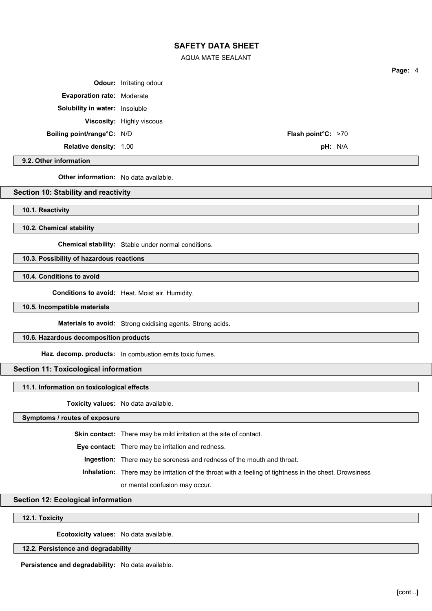AQUA MATE SEALANT

**Page:** 4 **Odour:** Irritating odour **Evaporation rate:** Moderate **Solubility in water:** Insoluble **Viscosity:** Highly viscous **Boiling point/range°C:** N/D **Flash point°C:** >70 **Relative density:** 1.00 **pH:** N/A

**9.2. Other information**

**Other information:** No data available.

### **Section 10: Stability and reactivity**

**10.1. Reactivity**

**10.2. Chemical stability**

**Chemical stability:** Stable under normal conditions.

## **10.3. Possibility of hazardous reactions**

**10.4. Conditions to avoid**

**Conditions to avoid:** Heat. Moist air. Humidity.

#### **10.5. Incompatible materials**

**Materials to avoid:** Strong oxidising agents. Strong acids.

### **10.6. Hazardous decomposition products**

**Haz. decomp. products:** In combustion emits toxic fumes.

### **Section 11: Toxicological information**

## **11.1. Information on toxicological effects**

**Toxicity values:** No data available.

**Symptoms / routes of exposure**

**Skin contact:** There may be mild irritation at the site of contact.

**Eye contact:** There may be irritation and redness.

**Ingestion:** There may be soreness and redness of the mouth and throat.

**Inhalation:** There may be irritation of the throat with a feeling of tightness in the chest. Drowsiness

or mental confusion may occur.

### **Section 12: Ecological information**

# **12.1. Toxicity**

**Ecotoxicity values:** No data available.

### **12.2. Persistence and degradability**

**Persistence and degradability:** No data available.